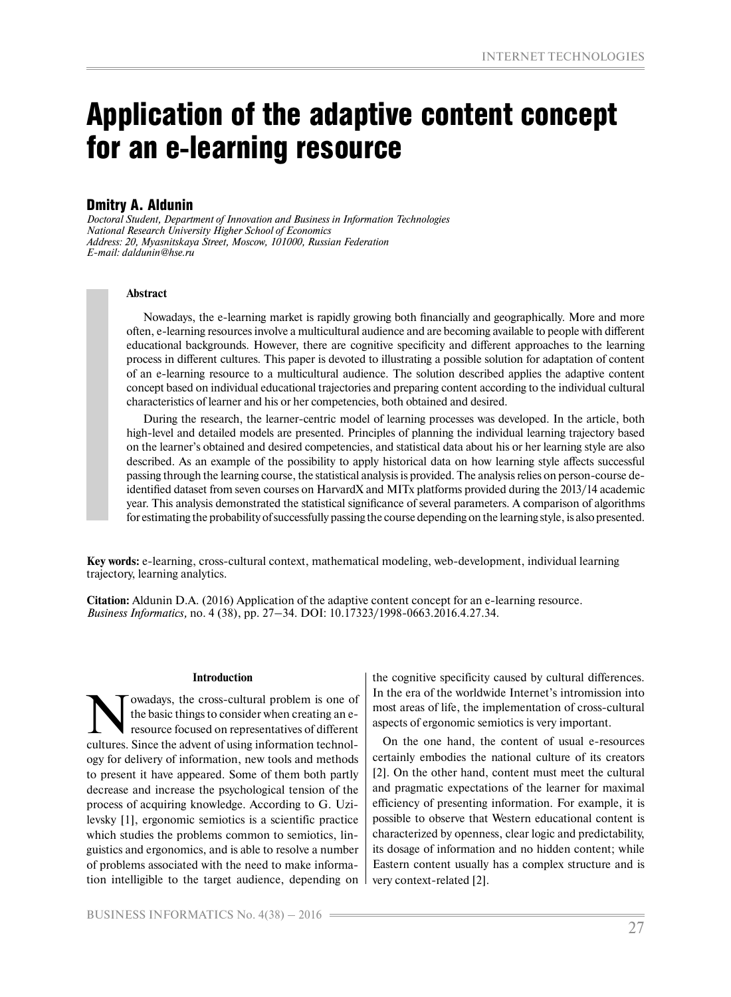# Application of the adaptive content concept for an e-learning resource

# Dmitry A. Aldunin

*Doctoral Student, Department of Innovation and Business in Information Technologies National Research University Higher School of Economics Address: 20, Myasnitskaya Street, Moscow, 101000, Russian Federation E-mail: daldunin@hse.ru*

# **Abstract**

Nowadays, the e-learning market is rapidly growing both financially and geographically. More and more often, e-learning resources involve a multicultural audience and are becoming available to people with different educational backgrounds. However, there are cognitive specificity and different approaches to the learning process in different cultures. This paper is devoted to illustrating a possible solution for adaptation of content of an e-learning resource to a multicultural audience. The solution described applies the adaptive content concept based on individual educational trajectories and preparing content according to the individual cultural characteristics of learner and his or her competencies, both obtained and desired.

During the research, the learner-centric model of learning processes was developed. In the article, both high-level and detailed models are presented. Principles of planning the individual learning trajectory based on the learner's obtained and desired competencies, and statistical data about his or her learning style are also described. As an example of the possibility to apply historical data on how learning style affects successful passing through the learning course, the statistical analysis is provided. The analysis relies on person-course deidentified dataset from seven courses on HarvardX and MITx platforms provided during the 2013/14 academic year. This analysis demonstrated the statistical significance of several parameters. A comparison of algorithms for estimating the probability of successfully passing the course depending on the learning style, is also presented.

**Key words:** e-learning, cross-cultural context, mathematical modeling, web-development, individual learning trajectory, learning analytics.

**Citation:** Aldunin D.A. (2016) Application of the adaptive content concept for an e-learning resource. *Business Informatics,* no. 4 (38), pp. 27–34. DOI: 10.17323/1998-0663.2016.4.27.34.

#### **Introduction**

owadays, the cross-cultural problem is one of the basic things to consider when creating an eresource focused on representatives of different cultures. Since the advent of using information technology for delivery of information, new tools and methods to present it have appeared. Some of them both partly decrease and increase the psychological tension of the process of acquiring knowledge. According to G. Uzilevsky [1], ergonomic semiotics is a scientific practice which studies the problems common to semiotics, linguistics and ergonomics, and is able to resolve a number of problems associated with the need to make information intelligible to the target audience, depending on

the cognitive specificity caused by cultural differences. In the era of the worldwide Internet's intromission into most areas of life, the implementation of cross-cultural aspects of ergonomic semiotics is very important.

On the one hand, the content of usual e-resources certainly embodies the national culture of its creators [2]. On the other hand, content must meet the cultural and pragmatic expectations of the learner for maximal efficiency of presenting information. For example, it is possible to observe that Western educational content is characterized by openness, clear logic and predictability, its dosage of information and no hidden content; while Eastern content usually has a complex structure and is very context-related [2].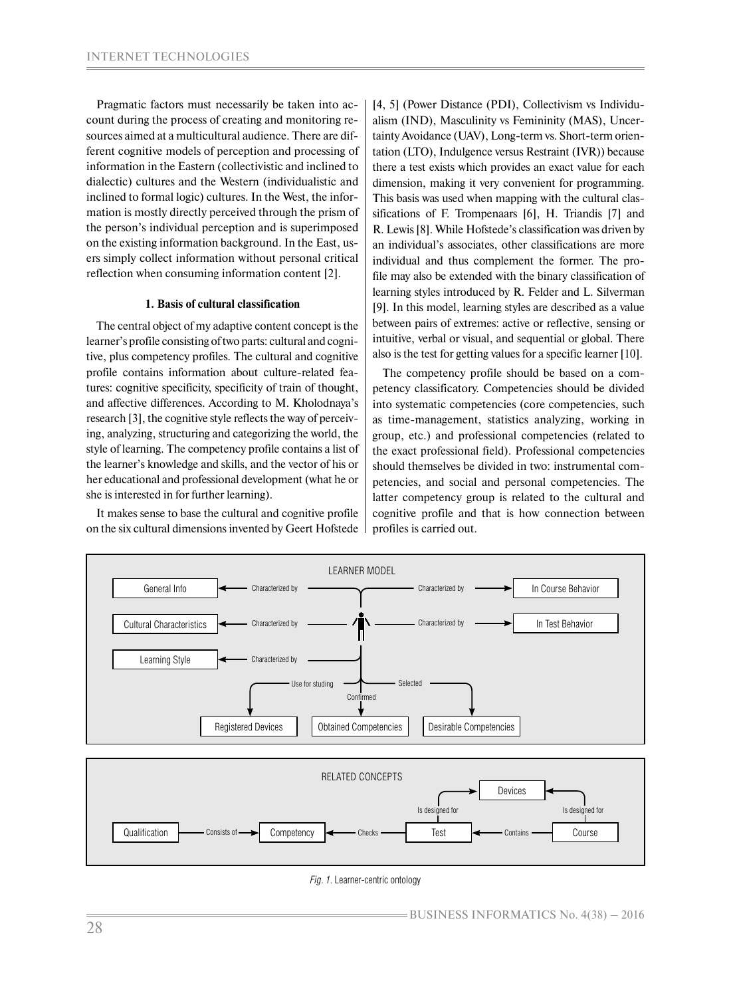Pragmatic factors must necessarily be taken into account during the process of creating and monitoring resources aimed at a multicultural audience. There are different cognitive models of perception and processing of information in the Eastern (collectivistic and inclined to dialectic) cultures and the Western (individualistic and inclined to formal logic) cultures. In the West, the information is mostly directly perceived through the prism of the person's individual perception and is superimposed on the existing information background. In the East, users simply collect information without personal critical reflection when consuming information content [2].

# **1. Basis of cultural classification**

The central object of my adaptive content concept is the learner's profile consisting of two parts: cultural and cognitive, plus competency profiles. The cultural and cognitive profile contains information about culture-related features: cognitive specificity, specificity of train of thought, and affective differences. According to M. Kholodnaya's research [3], the cognitive style reflects the way of perceiving, analyzing, structuring and categorizing the world, the style of learning. The competency profile contains a list of the learner's knowledge and skills, and the vector of his or her educational and professional development (what he or she is interested in for further learning).

It makes sense to base the cultural and cognitive profile on the six cultural dimensions invented by Geert Hofstede

[4, 5] (Power Distance (PDI), Collectivism vs Individualism (IND), Masculinity vs Femininity (MAS), Uncertainty Avoidance (UAV), Long-term vs. Short-term orientation (LTO), Indulgence versus Restraint (IVR)) because there a test exists which provides an exact value for each dimension, making it very convenient for programming. This basis was used when mapping with the cultural classifications of F. Trompenaars [6], H. Triandis [7] and R. Lewis [8]. While Hofstede's classification was driven by an individual's associates, other classifications are more individual and thus complement the former. The profile may also be extended with the binary classification of learning styles introduced by R. Felder and L. Silverman [9]. In this model, learning styles are described as a value between pairs of extremes: active or reflective, sensing or intuitive, verbal or visual, and sequential or global. There also is the test for getting values for a specific learner [10].

The competency profile should be based on a competency classificatory. Competencies should be divided into systematic competencies (core competencies, such as time-management, statistics analyzing, working in group, etc.) and professional competencies (related to the exact professional field). Professional competencies should themselves be divided in two: instrumental competencies, and social and personal competencies. The latter competency group is related to the cultural and cognitive profile and that is how connection between profiles is carried out.



*Fig. 1.* Learner-centric ontology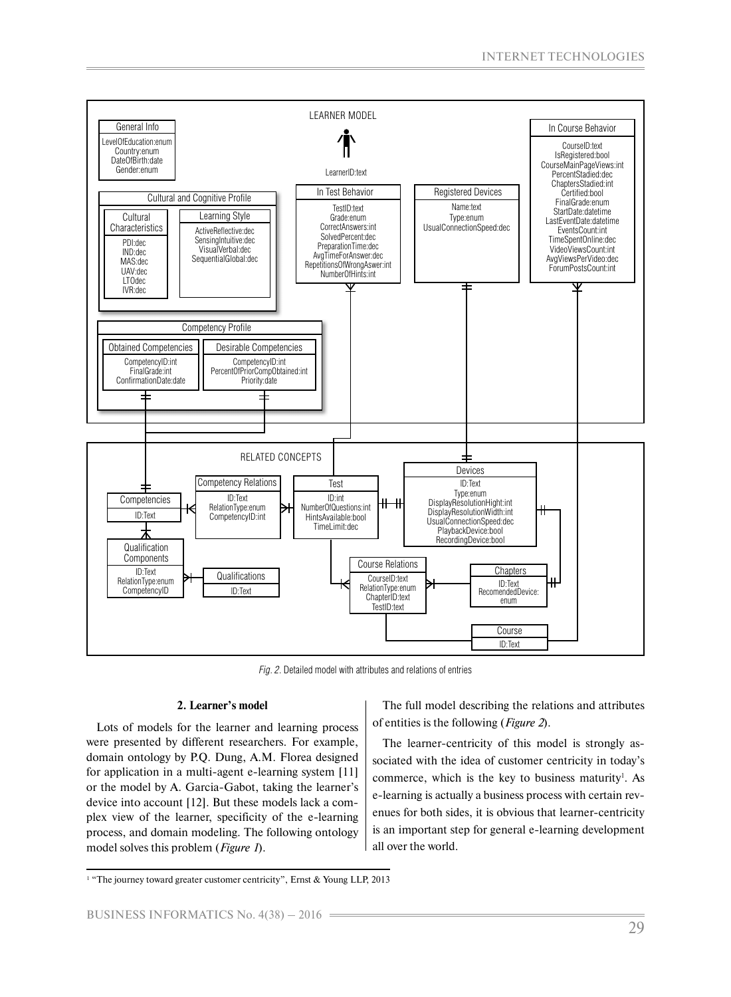

*Fig. 2.* Detailed model with attributes and relations of entries

# **2. Learner's model**

Lots of models for the learner and learning process were presented by different researchers. For example, domain ontology by P.Q. Dung, A.M. Florea designed for application in a multi-agent e-learning system [11] or the model by A. Garcia-Gabot, taking the learner's device into account [12]. But these models lack a complex view of the learner, specificity of the e-learning process, and domain modeling. The following ontology model solves this problem (*Figure 1*).

The full model describing the relations and attributes of entities is the following (*Figure 2*).

The learner-centricity of this model is strongly associated with the idea of customer centricity in today's commerce, which is the key to business maturity<sup>1</sup>. As e-learning is actually a business process with certain revenues for both sides, it is obvious that learner-centricity is an important step for general e-learning development all over the world.

<sup>&</sup>lt;sup>1</sup> "The journey toward greater customer centricity", Ernst & Young LLP, 2013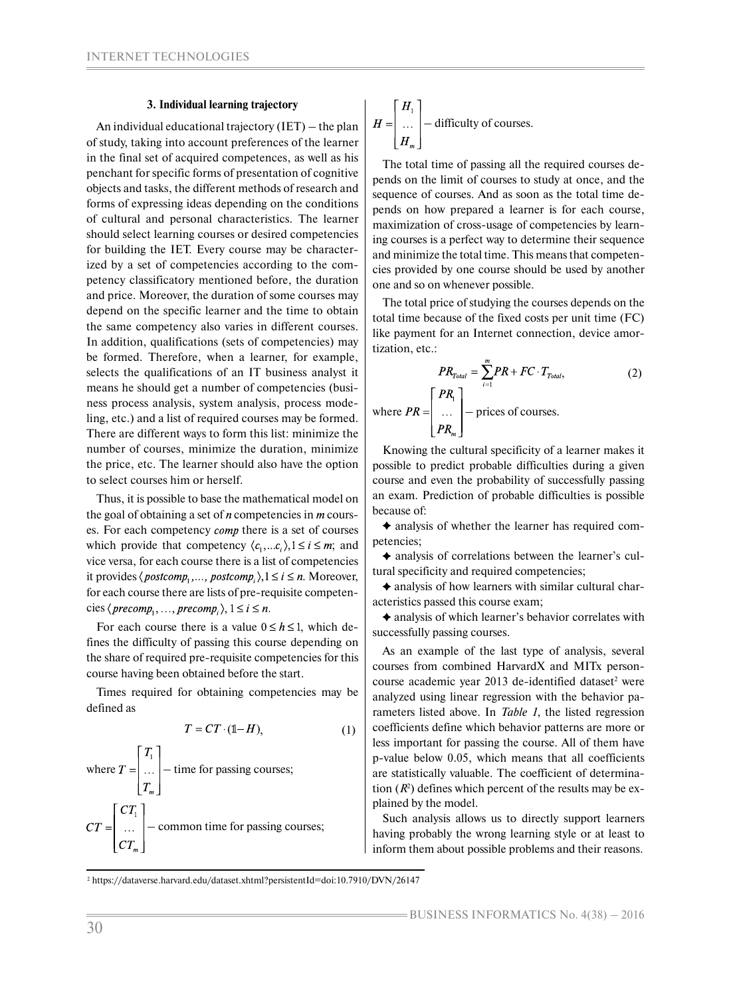#### **3. Individual learning trajectory**

An individual educational trajectory (IET) – the plan of study, taking into account preferences of the learner in the final set of acquired competences, as well as his penchant for specific forms of presentation of cognitive objects and tasks, the different methods of research and forms of expressing ideas depending on the conditions of cultural and personal characteristics. The learner should select learning courses or desired competencies for building the IET. Every course may be characterized by a set of competencies according to the competency classificatory mentioned before, the duration and price. Moreover, the duration of some courses may depend on the specific learner and the time to obtain the same competency also varies in different courses. In addition, qualifications (sets of competencies) may be formed. Therefore, when a learner, for example, selects the qualifications of an IT business analyst it means he should get a number of competencies (business process analysis, system analysis, process modeling, etc.) and a list of required courses may be formed. There are different ways to form this list: minimize the number of courses, minimize the duration, minimize the price, etc. The learner should also have the option to select courses him or herself.

Thus, it is possible to base the mathematical model on the goal of obtaining a set of  $n$  competencies in  $m$  courses. For each competency *comp* there is a set of courses which provide that competency  $\langle c_1,...c_i \rangle, 1 \le i \le m$ ; and vice versa, for each course there is a list of competencies it provides  $\langle postcomp_1, \ldots, postcomp_i \rangle$ ,  $1 \le i \le n$ . Moreover, for each course there are lists of pre-requisite competencies  $\langle \text{precomp}_1, \ldots, \text{precomp}_i \rangle, 1 \leq i \leq n$ .

For each course there is a value  $0 \le h \le 1$ , which defines the difficulty of passing this course depending on the share of required pre-requisite competencies for this course having been obtained before the start.

Times required for obtaining competencies may be defined as

$$
T = CT \cdot (\mathbb{1} - H),\tag{1}
$$

where 
$$
T = \begin{bmatrix} T_1 \\ \dots \\ T_m \end{bmatrix}
$$
 - time for passing courses;  
\n
$$
CT = \begin{bmatrix} CT_1 \\ \dots \\ CT_m \end{bmatrix}
$$
- common time for passing courses;

$$
H = \begin{bmatrix} H_1 \\ \dots \\ H_m \end{bmatrix}
$$
 - difficulty of courses.

The total time of passing all the required courses depends on the limit of courses to study at once, and the sequence of courses. And as soon as the total time depends on how prepared a learner is for each course, maximization of cross-usage of competencies by learning courses is a perfect way to determine their sequence and minimize the total time. This means that competencies provided by one course should be used by another one and so on whenever possible.

The total price of studying the courses depends on the total time because of the fixed costs per unit time (FC) like payment for an Internet connection, device amortization, etc.:

$$
PR_{\text{Total}} = \sum_{i=1}^{m} PR + FC \cdot T_{\text{Total}}, \tag{2}
$$
  
where  $PR = \begin{bmatrix} PR_1 \\ \dots \\ PR_m \end{bmatrix}$  - prices of courses.

Knowing the cultural specificity of a learner makes it possible to predict probable difficulties during a given course and even the probability of successfully passing an exam. Prediction of probable difficulties is possible because of:

 $\triangle$  analysis of whether the learner has required competencies;

 analysis of correlations between the learner's cultural specificity and required competencies;

 analysis of how learners with similar cultural characteristics passed this course exam;

 analysis of which learner's behavior correlates with successfully passing courses.

As an example of the last type of analysis, several courses from combined HarvardX and MITx personcourse academic year 2013 de-identified dataset<sup>2</sup> were analyzed using linear regression with the behavior parameters listed above. In *Table 1*, the listed regression coefficients define which behavior patterns are more or less important for passing the course. All of them have p-value below 0.05, which means that all coefficients are statistically valuable. The coefficient of determination  $(R^2)$  defines which percent of the results may be explained by the model.

Such analysis allows us to directly support learners having probably the wrong learning style or at least to inform them about possible problems and their reasons.

<sup>2</sup> https://dataverse.harvard.edu/dataset.xhtml?persistentId=doi:10.7910/DVN/26147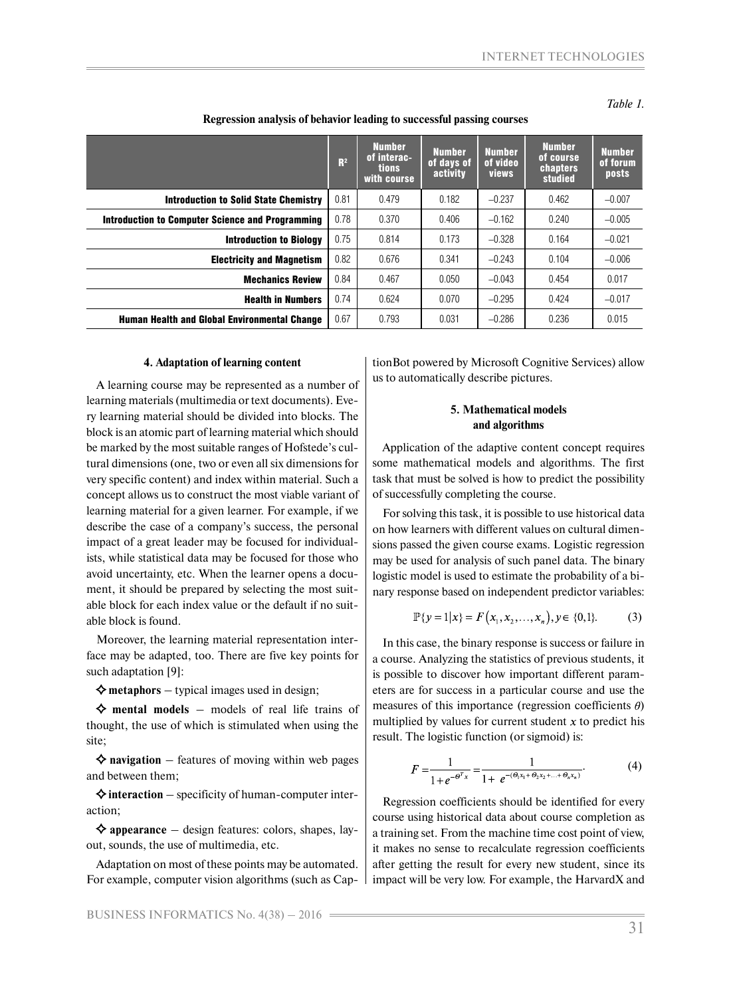*Table 1.* 

|                                                         | R <sup>2</sup> | <b>Number</b><br>of interac-<br><b>tions</b><br>with course | <b>Number</b><br>of days of<br>activity | <b>Number</b><br>of video<br><b>views</b> | <b>Number</b><br>of course<br><b>chapters</b><br>studied | <b>Number</b><br>of forum<br>posts |
|---------------------------------------------------------|----------------|-------------------------------------------------------------|-----------------------------------------|-------------------------------------------|----------------------------------------------------------|------------------------------------|
| <b>Introduction to Solid State Chemistry</b>            | 0.81           | 0.479                                                       | 0.182                                   | $-0.237$                                  | 0.462                                                    | $-0.007$                           |
| <b>Introduction to Computer Science and Programming</b> | 0.78           | 0.370                                                       | 0.406                                   | $-0.162$                                  | 0.240                                                    | $-0.005$                           |
| <b>Introduction to Biology</b>                          | 0.75           | 0.814                                                       | 0.173                                   | $-0.328$                                  | 0.164                                                    | $-0.021$                           |
| <b>Electricity and Magnetism</b>                        | 0.82           | 0.676                                                       | 0.341                                   | $-0.243$                                  | 0.104                                                    | $-0.006$                           |
| <b>Mechanics Review</b>                                 | 0.84           | 0.467                                                       | 0.050                                   | $-0.043$                                  | 0.454                                                    | 0.017                              |
| <b>Health in Numbers</b>                                | 0.74           | 0.624                                                       | 0.070                                   | $-0.295$                                  | 0.424                                                    | $-0.017$                           |
| <b>Human Health and Global Environmental Change</b>     | 0.67           | 0.793                                                       | 0.031                                   | $-0.286$                                  | 0.236                                                    | 0.015                              |

**Regression analysis of behavior leading to successful passing courses**

#### **4. Adaptation of learning content**

A learning course may be represented as a number of learning materials (multimedia or text documents). Every learning material should be divided into blocks. The block is an atomic part of learning material which should be marked by the most suitable ranges of Hofstede's cultural dimensions (one, two or even all six dimensions for very specific content) and index within material. Such a concept allows us to construct the most viable variant of learning material for a given learner. For example, if we describe the case of a company's success, the personal impact of a great leader may be focused for individualists, while statistical data may be focused for those who avoid uncertainty, etc. When the learner opens a document, it should be prepared by selecting the most suitable block for each index value or the default if no suitable block is found.

Moreover, the learning material representation interface may be adapted, too. There are five key points for such adaptation [9]:

 $\diamond$  metaphors – typical images used in design;

 $\Diamond$  mental models – models of real life trains of thought, the use of which is stimulated when using the site;

 $\Diamond$  **navigation** – features of moving within web pages and between them;

 $\Diamond$  interaction – specificity of human-computer interaction;

**appearance** – design features: colors, shapes, layout, sounds, the use of multimedia, etc.

Adaptation on most of these points may be automated. For example, computer vision algorithms (such as CaptionBot powered by Microsoft Cognitive Services) allow us to automatically describe pictures.

# **5. Mathematical models and algorithms**

Application of the adaptive content concept requires some mathematical models and algorithms. The first task that must be solved is how to predict the possibility of successfully completing the course.

For solving this task, it is possible to use historical data on how learners with different values on cultural dimensions passed the given course exams. Logistic regression may be used for analysis of such panel data. The binary logistic model is used to estimate the probability of a binary response based on independent predictor variables:

$$
\mathbb{P}\{y=1|x\}=F(x_1,x_2,\ldots,x_n), y\in\{0,1\}.\tag{3}
$$

In this case, the binary response is success or failure in a course. Analyzing the statistics of previous students, it is possible to discover how important different parameters are for success in a particular course and use the measures of this importance (regression coefficients  $\theta$ ) multiplied by values for current student  $x$  to predict his result. The logistic function (or sigmoid) is:

$$
F = \frac{1}{1 + e^{-\Theta^T x}} = \frac{1}{1 + e^{-(\Theta_1 x_1 + \Theta_2 x_2 + \dots + \Theta_n x_n)}}.
$$
(4)

Regression coefficients should be identified for every course using historical data about course completion as a training set. From the machine time cost point of view, it makes no sense to recalculate regression coefficients after getting the result for every new student, since its impact will be very low. For example, the HarvardX and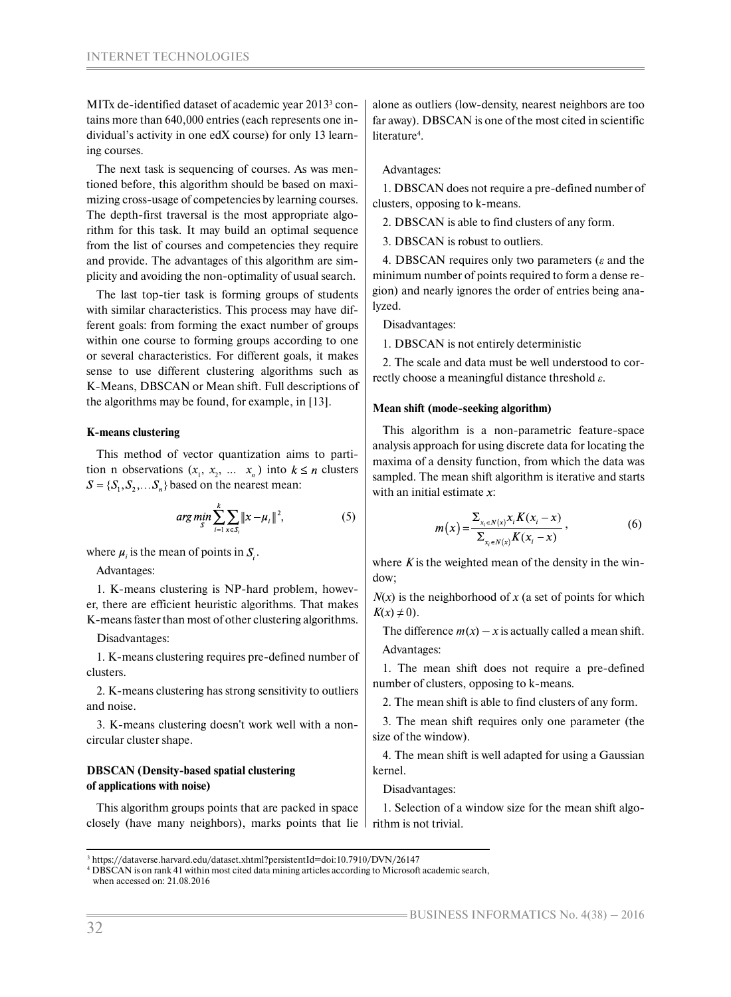MITx de-identified dataset of academic year 2013<sup>3</sup> contains more than 640,000 entries (each represents one individual's activity in one edX course) for only 13 learning courses.

The next task is sequencing of courses. As was mentioned before, this algorithm should be based on maximizing cross-usage of competencies by learning courses. The depth-first traversal is the most appropriate algorithm for this task. It may build an optimal sequence from the list of courses and competencies they require and provide. The advantages of this algorithm are simplicity and avoiding the non-optimality of usual search.

The last top-tier task is forming groups of students with similar characteristics. This process may have different goals: from forming the exact number of groups within one course to forming groups according to one or several characteristics. For different goals, it makes sense to use different clustering algorithms such as K-Means, DBSCAN or Mean shift. Full descriptions of the algorithms may be found, for example, in [13].

# **K-means clustering**

This method of vector quantization aims to partition n observations  $(x_1, x_2, \ldots x_n)$  into  $k \le n$  clusters  $S = \{S_1, S_2, \dots S_n\}$  based on the nearest mean:

$$
\arg\min_{S} \sum_{i=1}^{k} \sum_{x \in S_i} ||x - \mu_i||^2, \tag{5}
$$

where  $\mu_i$  is the mean of points in  $S_i$ .

Advantages:

1. K-means clustering is NP-hard problem, however, there are efficient heuristic algorithms. That makes K-means faster than most of other clustering algorithms.

Disadvantages:

1. K-means clustering requires pre-defined number of clusters.

2. K-means clustering has strong sensitivity to outliers and noise.

3. K-means clustering doesn't work well with a noncircular cluster shape.

# **DBSCAN (Density-based spatial clustering of applications with noise)**

This algorithm groups points that are packed in space closely (have many neighbors), marks points that lie

alone as outliers (low-density, nearest neighbors are too far away). DBSCAN is one of the most cited in scientific literature<sup>4</sup>.

# Advantages:

1. DBSCAN does not require a pre-defined number of clusters, opposing to k-means.

2. DBSCAN is able to find clusters of any form.

3. DBSCAN is robust to outliers.

4. DBSCAN requires only two parameters ( $\varepsilon$  and the minimum number of points required to form a dense region) and nearly ignores the order of entries being analyzed.

Disadvantages:

1. DBSCAN is not entirely deterministic

2. The scale and data must be well understood to correctly choose a meaningful distance threshold  $\varepsilon$ .

# **Mean shift (mode-seeking algorithm)**

This algorithm is a non-parametric feature-space analysis approach for using discrete data for locating the maxima of a density function, from which the data was sampled. The mean shift algorithm is iterative and starts with an initial estimate  $x$ :

$$
m(x) = \frac{\sum_{x_i \in N(x)} x_i K(x_i - x)}{\sum_{x_i \in N(x)} K(x_i - x)},
$$
\n(6)

where  $K$  is the weighted mean of the density in the window;

 $N(x)$  is the neighborhood of *x* (a set of points for which  $K(x) \neq 0$ ).

The difference  $m(x) - x$  is actually called a mean shift. Advantages:

1. The mean shift does not require a pre-defined number of clusters, opposing to k-means.

2. The mean shift is able to find clusters of any form.

3. The mean shift requires only one parameter (the size of the window).

4. The mean shift is well adapted for using a Gaussian kernel.

Disadvantages:

1. Selection of a window size for the mean shift algorithm is not trivial.

4 DBSCAN is on rank 41 within most cited data mining articles according to Microsoft academic search, when accessed on: 21.08.2016

<sup>3</sup> https://dataverse.harvard.edu/dataset.xhtml?persistentId=doi:10.7910/DVN/26147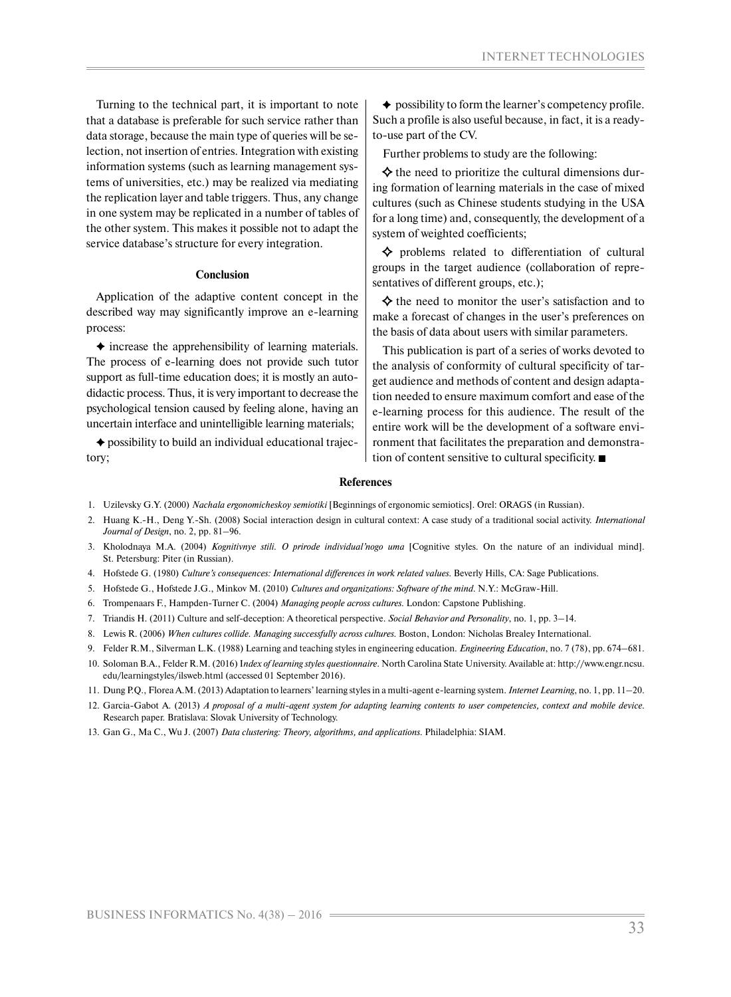Turning to the technical part, it is important to note that a database is preferable for such service rather than data storage, because the main type of queries will be selection, not insertion of entries. Integration with existing information systems (such as learning management systems of universities, etc.) may be realized via mediating the replication layer and table triggers. Thus, any change in one system may be replicated in a number of tables of the other system. This makes it possible not to adapt the service database's structure for every integration.

#### **Conclusion**

Application of the adaptive content concept in the described way may significantly improve an e-learning process:

 $\triangle$  increase the apprehensibility of learning materials. The process of e-learning does not provide such tutor support as full-time education does; it is mostly an autodidactic process. Thus, it is very important to decrease the psychological tension caused by feeling alone, having an uncertain interface and unintelligible learning materials;

 $\triangle$  possibility to build an individual educational trajectory;

 $\triangle$  possibility to form the learner's competency profile. Such a profile is also useful because, in fact, it is a readyto-use part of the CV.

Further problems to study are the following:

 $\Diamond$  the need to prioritize the cultural dimensions during formation of learning materials in the case of mixed cultures (such as Chinese students studying in the USA for a long time) and, consequently, the development of a system of weighted coefficients;

 $\diamond$  problems related to differentiation of cultural groups in the target audience (collaboration of representatives of different groups, etc.);

 $\diamond$  the need to monitor the user's satisfaction and to make a forecast of changes in the user's preferences on the basis of data about users with similar parameters.

This publication is part of a series of works devoted to the analysis of conformity of cultural specificity of target audience and methods of content and design adaptation needed to ensure maximum comfort and ease of the e-learning process for this audience. The result of the entire work will be the development of a software environment that facilitates the preparation and demonstration of content sensitive to cultural specificity.

#### **References**

- 1. Uzilevsky G.Y. (2000) *Nachala ergonomicheskoy semiotiki* [Beginnings of ergonomic semiotics]. Orel: ORAGS (in Russian).
- 2. Huang K.-H., Deng Y.-Sh. (2008) Social interaction design in cultural context: A case study of a traditional social activity. *International Journal of Design*, no. 2, pp. 81–96.
- 3. Kholodnaya M.A. (2004) *Kognitivnye stili. O prirode individual'nogo uma* [Cognitive styles. On the nature of an individual mind]. St. Petersburg: Piter (in Russian).
- 4. Hofstede G. (1980) *Culture's consequences: International differences in work related values*. Beverly Hills, CA: Sage Publications.
- 5. Hofstede G., Hofstede J.G., Minkov M. (2010) *Cultures and organizations: Software of the mind*. N.Y.: McGraw-Hill.
- 6. Trompenaars F., Hampden-Turner C. (2004) *Managing people across cultures*. London: Capstone Publishing.
- 7. Triandis H. (2011) Culture and self-deception: A theoretical perspective. *Social Behavior and Personality*, no. 1, pp. 3–14.
- 8. Lewis R. (2006) *When cultures collide. Managing successfully across cultures*. Boston, London: Nicholas Brealey International.
- 9. Felder R.M., Silverman L.K. (1988) Learning and teaching styles in engineering education. *Engineering Education*, no. 7 (78), pp. 674–681.
- 10. Soloman B.A., Felder R.M. (2016) I*ndex of learning styles questionnaire*. North Carolina State University. Available at: http://www.engr.ncsu. edu/learningstyles/ilsweb.html (accessed 01 September 2016).
- 11. Dung P.Q., Florea A.M. (2013) Adaptation to learners' learning styles in a multi-agent e-learning system. *Internet Learning*, no. 1, pp. 11–20.
- 12. Garcia-Gabot A. (2013) *A proposal of a multi-agent system for adapting learning contents to user competencies, context and mobile device*. Research paper. Bratislava: Slovak University of Technology.
- 13. Gan G., Ma C., Wu J. (2007) *Data clustering: Theory, algorithms, and applications*. Philadelphia: SIAM.